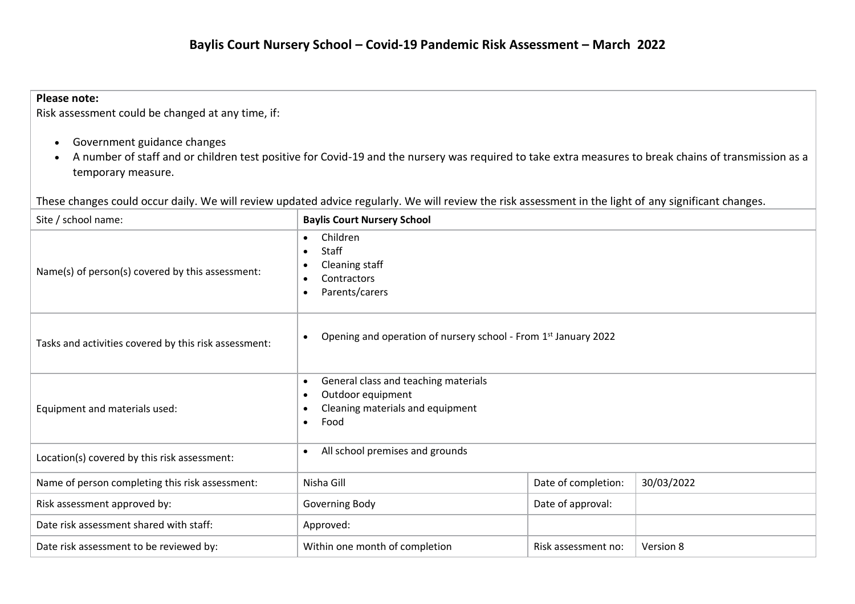## **Please note:**

Risk assessment could be changed at any time, if:

- Government guidance changes
- A number of staff and or children test positive for Covid-19 and the nursery was required to take extra measures to break chains of transmission as a temporary measure.

These changes could occur daily. We will review updated advice regularly. We will review the risk assessment in the light of any significant changes.

| Site / school name:                                   | <b>Baylis Court Nursery School</b>                                                                                                           |                     |           |  |  |
|-------------------------------------------------------|----------------------------------------------------------------------------------------------------------------------------------------------|---------------------|-----------|--|--|
| Name(s) of person(s) covered by this assessment:      | Children<br>Staff<br>$\bullet$<br>Cleaning staff<br>Contractors<br>$\bullet$<br>Parents/carers<br>$\bullet$                                  |                     |           |  |  |
| Tasks and activities covered by this risk assessment: | Opening and operation of nursery school - From 1st January 2022                                                                              |                     |           |  |  |
| Equipment and materials used:                         | General class and teaching materials<br>$\bullet$<br>Outdoor equipment<br>Cleaning materials and equipment<br>$\bullet$<br>Food<br>$\bullet$ |                     |           |  |  |
| Location(s) covered by this risk assessment:          | All school premises and grounds<br>$\bullet$                                                                                                 |                     |           |  |  |
| Name of person completing this risk assessment:       | 30/03/2022<br>Nisha Gill<br>Date of completion:                                                                                              |                     |           |  |  |
| Risk assessment approved by:                          | Date of approval:<br>Governing Body                                                                                                          |                     |           |  |  |
| Date risk assessment shared with staff:               | Approved:                                                                                                                                    |                     |           |  |  |
| Date risk assessment to be reviewed by:               | Within one month of completion                                                                                                               | Risk assessment no: | Version 8 |  |  |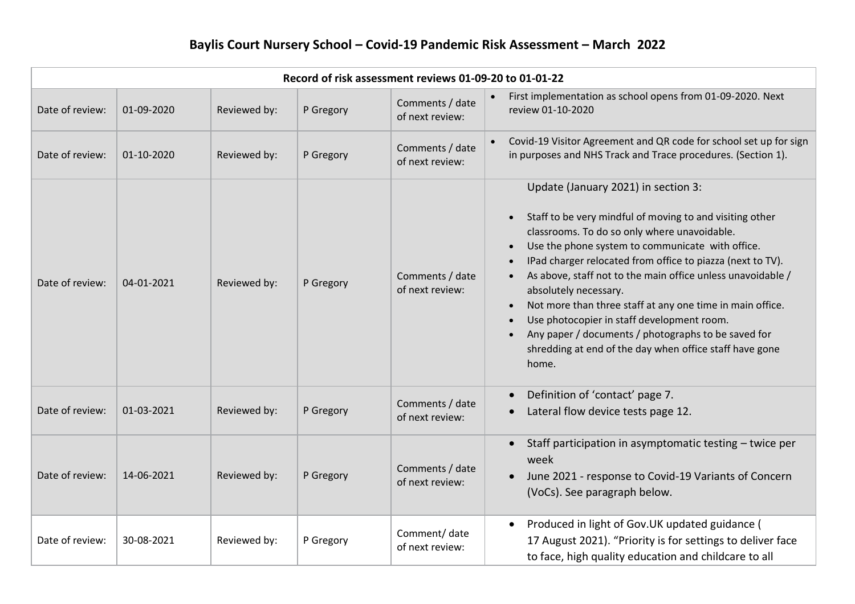| Record of risk assessment reviews 01-09-20 to 01-01-22 |            |              |           |                                    |                                                                                                                                                                                                                                                                                                                                                                                                                                                                                                                                                                                                                           |  |  |  |
|--------------------------------------------------------|------------|--------------|-----------|------------------------------------|---------------------------------------------------------------------------------------------------------------------------------------------------------------------------------------------------------------------------------------------------------------------------------------------------------------------------------------------------------------------------------------------------------------------------------------------------------------------------------------------------------------------------------------------------------------------------------------------------------------------------|--|--|--|
| Date of review:                                        | 01-09-2020 | Reviewed by: | P Gregory | Comments / date<br>of next review: | First implementation as school opens from 01-09-2020. Next<br>review 01-10-2020                                                                                                                                                                                                                                                                                                                                                                                                                                                                                                                                           |  |  |  |
| Date of review:                                        | 01-10-2020 | Reviewed by: | P Gregory | Comments / date<br>of next review: | Covid-19 Visitor Agreement and QR code for school set up for sign<br>in purposes and NHS Track and Trace procedures. (Section 1).                                                                                                                                                                                                                                                                                                                                                                                                                                                                                         |  |  |  |
| Date of review:                                        | 04-01-2021 | Reviewed by: | P Gregory | Comments / date<br>of next review: | Update (January 2021) in section 3:<br>Staff to be very mindful of moving to and visiting other<br>$\bullet$<br>classrooms. To do so only where unavoidable.<br>Use the phone system to communicate with office.<br>IPad charger relocated from office to piazza (next to TV).<br>As above, staff not to the main office unless unavoidable /<br>absolutely necessary.<br>Not more than three staff at any one time in main office.<br>$\bullet$<br>Use photocopier in staff development room.<br>Any paper / documents / photographs to be saved for<br>shredding at end of the day when office staff have gone<br>home. |  |  |  |
| Date of review:                                        | 01-03-2021 | Reviewed by: | P Gregory | Comments / date<br>of next review: | Definition of 'contact' page 7.<br>Lateral flow device tests page 12.                                                                                                                                                                                                                                                                                                                                                                                                                                                                                                                                                     |  |  |  |
| Date of review:                                        | 14-06-2021 | Reviewed by: | P Gregory | Comments / date<br>of next review: | Staff participation in asymptomatic testing - twice per<br>week<br>June 2021 - response to Covid-19 Variants of Concern<br>(VoCs). See paragraph below.                                                                                                                                                                                                                                                                                                                                                                                                                                                                   |  |  |  |
| Date of review:                                        | 30-08-2021 | Reviewed by: | P Gregory | Comment/ date<br>of next review:   | Produced in light of Gov.UK updated guidance (<br>$\bullet$<br>17 August 2021). "Priority is for settings to deliver face<br>to face, high quality education and childcare to all                                                                                                                                                                                                                                                                                                                                                                                                                                         |  |  |  |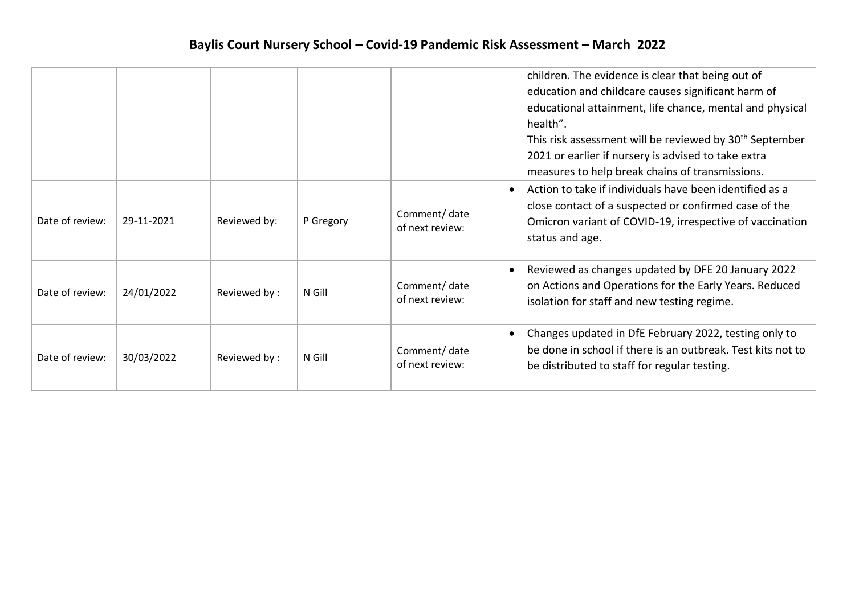|                 |            |              |           |                                  | children. The evidence is clear that being out of<br>education and childcare causes significant harm of<br>educational attainment, life chance, mental and physical<br>health".<br>This risk assessment will be reviewed by 30 <sup>th</sup> September<br>2021 or earlier if nursery is advised to take extra<br>measures to help break chains of transmissions. |
|-----------------|------------|--------------|-----------|----------------------------------|------------------------------------------------------------------------------------------------------------------------------------------------------------------------------------------------------------------------------------------------------------------------------------------------------------------------------------------------------------------|
| Date of review: | 29-11-2021 | Reviewed by: | P Gregory | Comment/ date<br>of next review: | Action to take if individuals have been identified as a<br>close contact of a suspected or confirmed case of the<br>Omicron variant of COVID-19, irrespective of vaccination<br>status and age.                                                                                                                                                                  |
| Date of review: | 24/01/2022 | Reviewed by: | N Gill    | Comment/date<br>of next review:  | Reviewed as changes updated by DFE 20 January 2022<br>on Actions and Operations for the Early Years. Reduced<br>isolation for staff and new testing regime.                                                                                                                                                                                                      |
| Date of review: | 30/03/2022 | Reviewed by: | N Gill    | Comment/ date<br>of next review: | Changes updated in DfE February 2022, testing only to<br>be done in school if there is an outbreak. Test kits not to<br>be distributed to staff for regular testing.                                                                                                                                                                                             |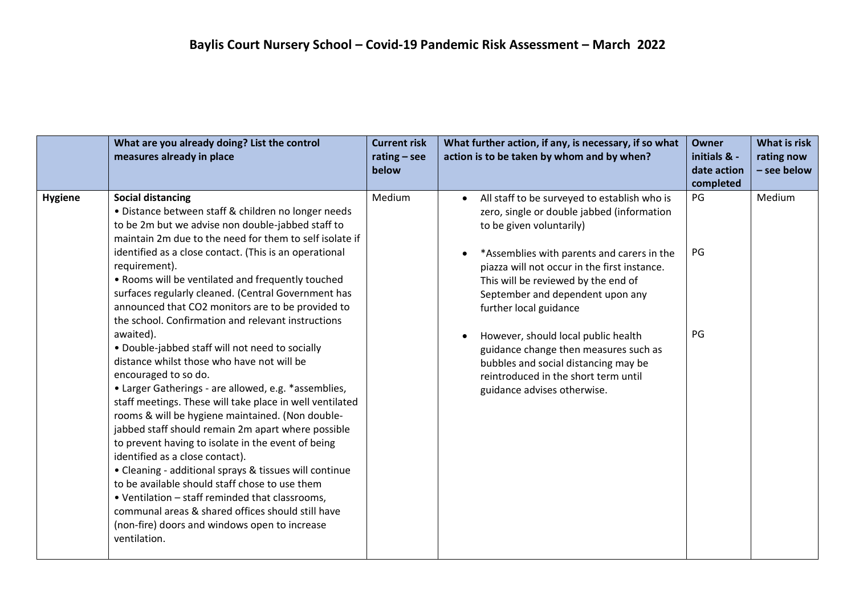|                | What are you already doing? List the control<br>measures already in place                                                                                                                                                                                                                                                                                                                                                                                                                                                                                                                                                                                                                                                                                                                                                                                                                                                                                                                                                                                                                                                                                                                                                                           | <b>Current risk</b><br>$rating - see$<br>below | What further action, if any, is necessary, if so what<br>action is to be taken by whom and by when?                                                                                                                                                                                                                                                                                                                                                                                                                      | <b>Owner</b><br>initials & -<br>date action<br>completed | What is risk<br>rating now<br>- see below |
|----------------|-----------------------------------------------------------------------------------------------------------------------------------------------------------------------------------------------------------------------------------------------------------------------------------------------------------------------------------------------------------------------------------------------------------------------------------------------------------------------------------------------------------------------------------------------------------------------------------------------------------------------------------------------------------------------------------------------------------------------------------------------------------------------------------------------------------------------------------------------------------------------------------------------------------------------------------------------------------------------------------------------------------------------------------------------------------------------------------------------------------------------------------------------------------------------------------------------------------------------------------------------------|------------------------------------------------|--------------------------------------------------------------------------------------------------------------------------------------------------------------------------------------------------------------------------------------------------------------------------------------------------------------------------------------------------------------------------------------------------------------------------------------------------------------------------------------------------------------------------|----------------------------------------------------------|-------------------------------------------|
| <b>Hygiene</b> | <b>Social distancing</b><br>• Distance between staff & children no longer needs<br>to be 2m but we advise non double-jabbed staff to<br>maintain 2m due to the need for them to self isolate if<br>identified as a close contact. (This is an operational<br>requirement).<br>• Rooms will be ventilated and frequently touched<br>surfaces regularly cleaned. (Central Government has<br>announced that CO2 monitors are to be provided to<br>the school. Confirmation and relevant instructions<br>awaited).<br>• Double-jabbed staff will not need to socially<br>distance whilst those who have not will be<br>encouraged to so do.<br>• Larger Gatherings - are allowed, e.g. *assemblies,<br>staff meetings. These will take place in well ventilated<br>rooms & will be hygiene maintained. (Non double-<br>jabbed staff should remain 2m apart where possible<br>to prevent having to isolate in the event of being<br>identified as a close contact).<br>• Cleaning - additional sprays & tissues will continue<br>to be available should staff chose to use them<br>• Ventilation - staff reminded that classrooms,<br>communal areas & shared offices should still have<br>(non-fire) doors and windows open to increase<br>ventilation. | Medium                                         | All staff to be surveyed to establish who is<br>zero, single or double jabbed (information<br>to be given voluntarily)<br>*Assemblies with parents and carers in the<br>piazza will not occur in the first instance.<br>This will be reviewed by the end of<br>September and dependent upon any<br>further local guidance<br>However, should local public health<br>guidance change then measures such as<br>bubbles and social distancing may be<br>reintroduced in the short term until<br>guidance advises otherwise. | PG<br>PG<br>PG                                           | Medium                                    |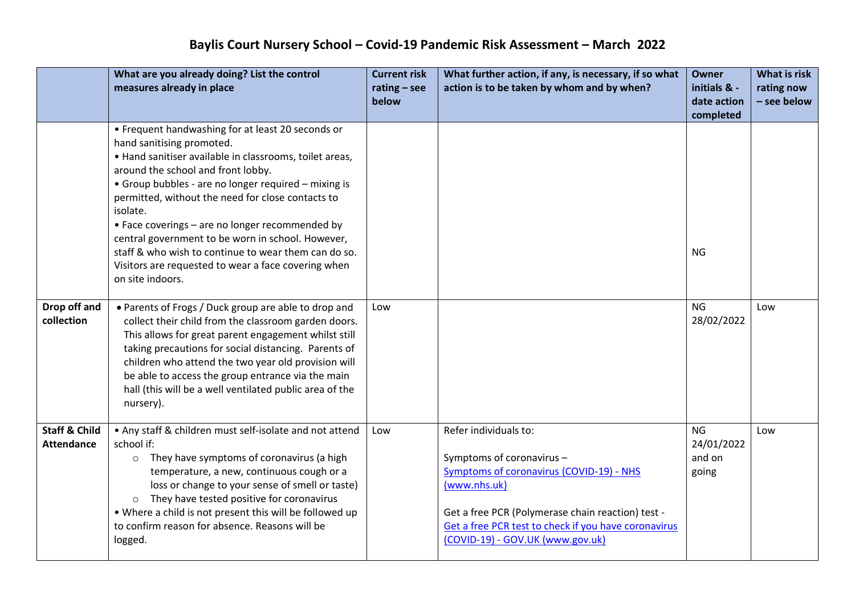|                                               | What are you already doing? List the control<br>measures already in place                                                                                                                                                                                                                                                                                                                                                                                                                                                                           | <b>Current risk</b><br>rating $-$ see<br>below | What further action, if any, is necessary, if so what<br>action is to be taken by whom and by when?                                                                                                                                                                    | <b>Owner</b><br>initials & -<br>date action<br>completed | <b>What is risk</b><br>rating now<br>- see below |
|-----------------------------------------------|-----------------------------------------------------------------------------------------------------------------------------------------------------------------------------------------------------------------------------------------------------------------------------------------------------------------------------------------------------------------------------------------------------------------------------------------------------------------------------------------------------------------------------------------------------|------------------------------------------------|------------------------------------------------------------------------------------------------------------------------------------------------------------------------------------------------------------------------------------------------------------------------|----------------------------------------------------------|--------------------------------------------------|
|                                               | • Frequent handwashing for at least 20 seconds or<br>hand sanitising promoted.<br>• Hand sanitiser available in classrooms, toilet areas,<br>around the school and front lobby.<br>• Group bubbles - are no longer required - mixing is<br>permitted, without the need for close contacts to<br>isolate.<br>• Face coverings - are no longer recommended by<br>central government to be worn in school. However,<br>staff & who wish to continue to wear them can do so.<br>Visitors are requested to wear a face covering when<br>on site indoors. |                                                |                                                                                                                                                                                                                                                                        | <b>NG</b>                                                |                                                  |
| Drop off and<br>collection                    | • Parents of Frogs / Duck group are able to drop and<br>collect their child from the classroom garden doors.<br>This allows for great parent engagement whilst still<br>taking precautions for social distancing. Parents of<br>children who attend the two year old provision will<br>be able to access the group entrance via the main<br>hall (this will be a well ventilated public area of the<br>nursery).                                                                                                                                    | Low                                            |                                                                                                                                                                                                                                                                        | <b>NG</b><br>28/02/2022                                  | Low                                              |
| <b>Staff &amp; Child</b><br><b>Attendance</b> | • Any staff & children must self-isolate and not attend<br>school if:<br>$\circ$ They have symptoms of coronavirus (a high<br>temperature, a new, continuous cough or a<br>loss or change to your sense of smell or taste)<br>They have tested positive for coronavirus<br>$\circ$<br>. Where a child is not present this will be followed up<br>to confirm reason for absence. Reasons will be<br>logged.                                                                                                                                          | Low                                            | Refer individuals to:<br>Symptoms of coronavirus -<br><b>Symptoms of coronavirus (COVID-19) - NHS</b><br>(www.nhs.uk)<br>Get a free PCR (Polymerase chain reaction) test -<br>Get a free PCR test to check if you have coronavirus<br>(COVID-19) - GOV.UK (www.gov.uk) | <b>NG</b><br>24/01/2022<br>and on<br>going               | Low                                              |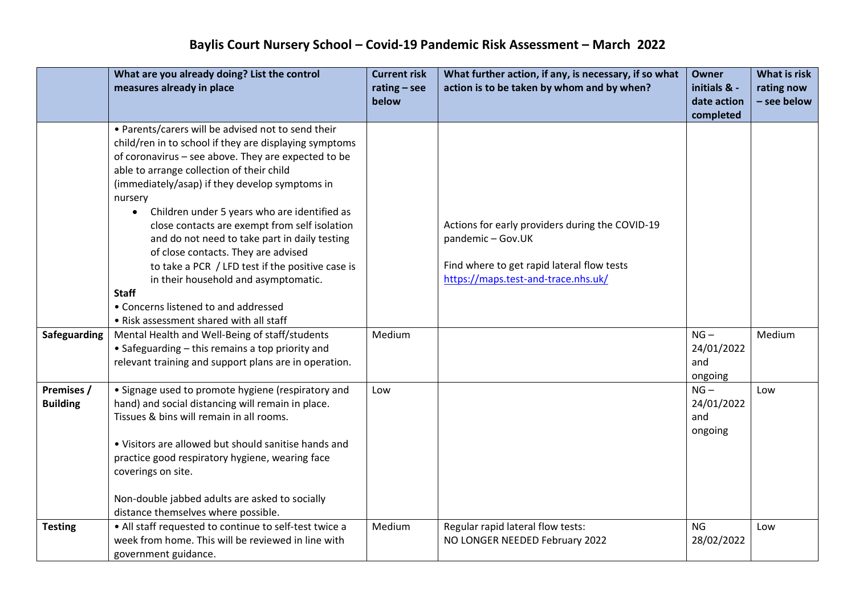|                               | What are you already doing? List the control<br>measures already in place                                                                                                                                                                                                                                                                                                                                                                                                                                                                                                                                                                                                          | <b>Current risk</b><br>$rating - see$ | What further action, if any, is necessary, if so what<br>action is to be taken by whom and by when?                                                       | <b>Owner</b><br>initials & -           | What is risk<br>rating now |
|-------------------------------|------------------------------------------------------------------------------------------------------------------------------------------------------------------------------------------------------------------------------------------------------------------------------------------------------------------------------------------------------------------------------------------------------------------------------------------------------------------------------------------------------------------------------------------------------------------------------------------------------------------------------------------------------------------------------------|---------------------------------------|-----------------------------------------------------------------------------------------------------------------------------------------------------------|----------------------------------------|----------------------------|
|                               |                                                                                                                                                                                                                                                                                                                                                                                                                                                                                                                                                                                                                                                                                    | below                                 |                                                                                                                                                           | date action<br>completed               | - see below                |
|                               | • Parents/carers will be advised not to send their<br>child/ren in to school if they are displaying symptoms<br>of coronavirus - see above. They are expected to be<br>able to arrange collection of their child<br>(immediately/asap) if they develop symptoms in<br>nursery<br>Children under 5 years who are identified as<br>$\bullet$<br>close contacts are exempt from self isolation<br>and do not need to take part in daily testing<br>of close contacts. They are advised<br>to take a PCR / LFD test if the positive case is<br>in their household and asymptomatic.<br><b>Staff</b><br>• Concerns listened to and addressed<br>• Risk assessment shared with all staff |                                       | Actions for early providers during the COVID-19<br>pandemic - Gov.UK<br>Find where to get rapid lateral flow tests<br>https://maps.test-and-trace.nhs.uk/ |                                        |                            |
| <b>Safeguarding</b>           | Mental Health and Well-Being of staff/students<br>• Safeguarding - this remains a top priority and<br>relevant training and support plans are in operation.                                                                                                                                                                                                                                                                                                                                                                                                                                                                                                                        | Medium                                |                                                                                                                                                           | $NG -$<br>24/01/2022<br>and<br>ongoing | Medium                     |
| Premises /<br><b>Building</b> | • Signage used to promote hygiene (respiratory and<br>hand) and social distancing will remain in place.<br>Tissues & bins will remain in all rooms.<br>• Visitors are allowed but should sanitise hands and<br>practice good respiratory hygiene, wearing face<br>coverings on site.<br>Non-double jabbed adults are asked to socially<br>distance themselves where possible.                                                                                                                                                                                                                                                                                                      | Low                                   |                                                                                                                                                           | $NG -$<br>24/01/2022<br>and<br>ongoing | Low                        |
| <b>Testing</b>                | • All staff requested to continue to self-test twice a<br>week from home. This will be reviewed in line with<br>government guidance.                                                                                                                                                                                                                                                                                                                                                                                                                                                                                                                                               | Medium                                | Regular rapid lateral flow tests:<br>NO LONGER NEEDED February 2022                                                                                       | <b>NG</b><br>28/02/2022                | Low                        |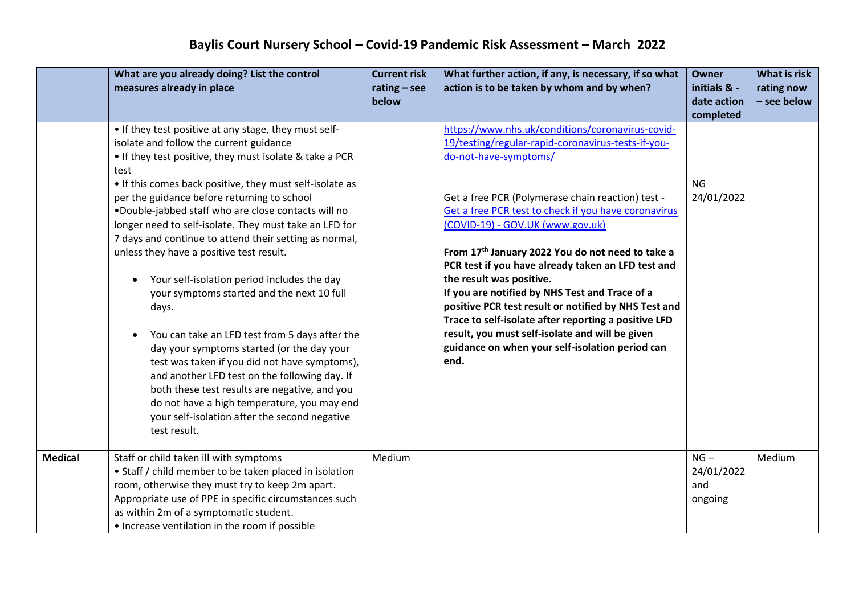|                | What are you already doing? List the control                                                 | <b>Current risk</b>     | What further action, if any, is necessary, if so what | <b>Owner</b>                | What is risk              |
|----------------|----------------------------------------------------------------------------------------------|-------------------------|-------------------------------------------------------|-----------------------------|---------------------------|
|                | measures already in place                                                                    | $rating - see$<br>below | action is to be taken by whom and by when?            | initials & -<br>date action | rating now<br>- see below |
|                |                                                                                              |                         |                                                       | completed                   |                           |
|                | • If they test positive at any stage, they must self-                                        |                         | https://www.nhs.uk/conditions/coronavirus-covid-      |                             |                           |
|                | isolate and follow the current guidance                                                      |                         | 19/testing/regular-rapid-coronavirus-tests-if-you-    |                             |                           |
|                | • If they test positive, they must isolate & take a PCR<br>test                              |                         | do-not-have-symptoms/                                 |                             |                           |
|                | • If this comes back positive, they must self-isolate as                                     |                         |                                                       | <b>NG</b>                   |                           |
|                | per the guidance before returning to school                                                  |                         | Get a free PCR (Polymerase chain reaction) test -     | 24/01/2022                  |                           |
|                | .Double-jabbed staff who are close contacts will no                                          |                         | Get a free PCR test to check if you have coronavirus  |                             |                           |
|                | longer need to self-isolate. They must take an LFD for                                       |                         | (COVID-19) - GOV.UK (www.gov.uk)                      |                             |                           |
|                | 7 days and continue to attend their setting as normal,                                       |                         |                                                       |                             |                           |
|                | unless they have a positive test result.                                                     |                         | From 17th January 2022 You do not need to take a      |                             |                           |
|                |                                                                                              |                         | PCR test if you have already taken an LFD test and    |                             |                           |
|                | Your self-isolation period includes the day                                                  |                         | the result was positive.                              |                             |                           |
|                | your symptoms started and the next 10 full                                                   |                         | If you are notified by NHS Test and Trace of a        |                             |                           |
|                | days.                                                                                        |                         | positive PCR test result or notified by NHS Test and  |                             |                           |
|                |                                                                                              |                         | Trace to self-isolate after reporting a positive LFD  |                             |                           |
|                | You can take an LFD test from 5 days after the                                               |                         | result, you must self-isolate and will be given       |                             |                           |
|                | day your symptoms started (or the day your                                                   |                         | guidance on when your self-isolation period can       |                             |                           |
|                | test was taken if you did not have symptoms),                                                |                         | end.                                                  |                             |                           |
|                | and another LFD test on the following day. If                                                |                         |                                                       |                             |                           |
|                | both these test results are negative, and you                                                |                         |                                                       |                             |                           |
|                | do not have a high temperature, you may end<br>your self-isolation after the second negative |                         |                                                       |                             |                           |
|                | test result.                                                                                 |                         |                                                       |                             |                           |
|                |                                                                                              |                         |                                                       |                             |                           |
| <b>Medical</b> | Staff or child taken ill with symptoms                                                       | Medium                  |                                                       | $NG -$                      | Medium                    |
|                | • Staff / child member to be taken placed in isolation                                       |                         |                                                       | 24/01/2022                  |                           |
|                | room, otherwise they must try to keep 2m apart.                                              |                         |                                                       | and                         |                           |
|                | Appropriate use of PPE in specific circumstances such                                        |                         |                                                       | ongoing                     |                           |
|                | as within 2m of a symptomatic student.                                                       |                         |                                                       |                             |                           |
|                | • Increase ventilation in the room if possible                                               |                         |                                                       |                             |                           |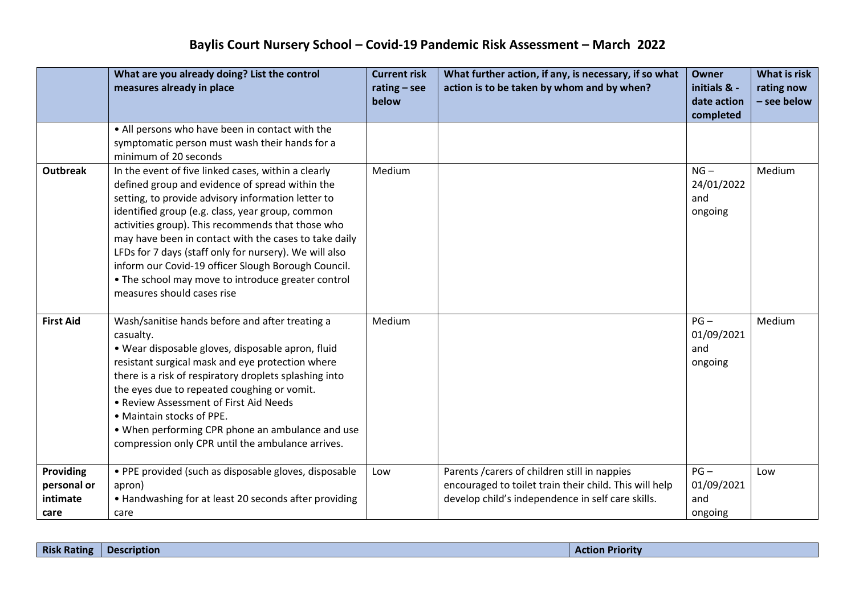|                                                     | What are you already doing? List the control<br>measures already in place                                                                                                                                                                                                                                                                                                                                                                                                                                                           | <b>Current risk</b><br>$rating - see$<br>below | What further action, if any, is necessary, if so what<br>action is to be taken by whom and by when?                                                          | <b>Owner</b><br>initials & -<br>date action<br>completed | What is risk<br>rating now<br>- see below |
|-----------------------------------------------------|-------------------------------------------------------------------------------------------------------------------------------------------------------------------------------------------------------------------------------------------------------------------------------------------------------------------------------------------------------------------------------------------------------------------------------------------------------------------------------------------------------------------------------------|------------------------------------------------|--------------------------------------------------------------------------------------------------------------------------------------------------------------|----------------------------------------------------------|-------------------------------------------|
|                                                     | • All persons who have been in contact with the<br>symptomatic person must wash their hands for a<br>minimum of 20 seconds                                                                                                                                                                                                                                                                                                                                                                                                          |                                                |                                                                                                                                                              |                                                          |                                           |
| <b>Outbreak</b>                                     | In the event of five linked cases, within a clearly<br>defined group and evidence of spread within the<br>setting, to provide advisory information letter to<br>identified group (e.g. class, year group, common<br>activities group). This recommends that those who<br>may have been in contact with the cases to take daily<br>LFDs for 7 days (staff only for nursery). We will also<br>inform our Covid-19 officer Slough Borough Council.<br>• The school may move to introduce greater control<br>measures should cases rise | Medium                                         |                                                                                                                                                              | $NG -$<br>24/01/2022<br>and<br>ongoing                   | Medium                                    |
| <b>First Aid</b>                                    | Wash/sanitise hands before and after treating a<br>casualty.<br>· Wear disposable gloves, disposable apron, fluid<br>resistant surgical mask and eye protection where<br>there is a risk of respiratory droplets splashing into<br>the eyes due to repeated coughing or vomit.<br>• Review Assessment of First Aid Needs<br>• Maintain stocks of PPE.<br>• When performing CPR phone an ambulance and use<br>compression only CPR until the ambulance arrives.                                                                      | Medium                                         |                                                                                                                                                              | $PG -$<br>01/09/2021<br>and<br>ongoing                   | Medium                                    |
| <b>Providing</b><br>personal or<br>intimate<br>care | • PPE provided (such as disposable gloves, disposable<br>apron)<br>• Handwashing for at least 20 seconds after providing<br>care                                                                                                                                                                                                                                                                                                                                                                                                    | Low                                            | Parents / carers of children still in nappies<br>encouraged to toilet train their child. This will help<br>develop child's independence in self care skills. | $PG -$<br>01/09/2021<br>and<br>ongoing                   | Low                                       |

| Description |  | <b>Risk Rating</b> |  |  |
|-------------|--|--------------------|--|--|
|-------------|--|--------------------|--|--|